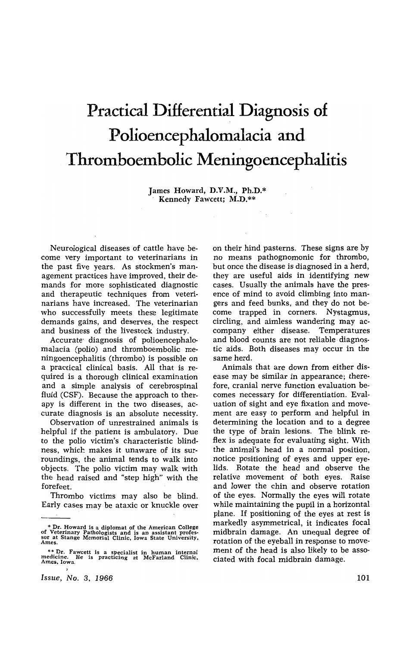# **Practical Differential Diagnosis of**  Polioencephalomalacia and **Thromboembolic Meningoencephalitis**

James Howard, D.V.M., Ph.D.\* , Kennedy Fawcett; M.D.\*\*

Neurological diseases of cattle have become very important to veterinarians in the past five years. As stockmen's management practices have improved, their demands for more sophisticated diagnostic and therapeutic techniques from veterinarians have increased. The veterinarian who successfully meets these legitimate demands gains, and deserves, the respect and business of the livestock industry.

Accurate' diagnosis of polioencephalomalacia (polio) and thromboembolic meningoencephalitis (thrombo) is possible on a practical clinical basis. All that is required is a thorough clinical examination and a simple analysis of cerebrospinal fluid (CSF). Because the approach to therapy is different in the two diseases, accurate diagnosis is an absolute necessity.

Observation of unrestrained animals is helpful if the patient is ambulatory. Due to the polio victim's characteristic blindness, which makes it unaware of its surroundings, the animal tends to walk into objects. The polio victim may walk with the head raised and "step high" with the forefeet.

Thrombo victims may also be blind. Early cases may be ataxic or knuckle over

*Issue,* No.3, 1966

on their hind pasterns. These signs are by no means pathognomonic for thrombo, but once the disease is diagnosed in a herd, they are useful aids in identifying new cases. Usually the animals have the presence of mind to avoid climbing into mangers and feed bunks, and they do not become trapped in corners. Nystagmus, circling, and aimless wandering may accompany either disease. Temperatures and blood counts are not reliable diagnostic aids. Both diseases may occur in the same herd.

Animals that are down from either disease may be similar in appearance; therefore, cranial nerve function evaluation becomes necessary for differentiation. Evaluation of sight and eye fixation and movement are easy to perform and helpful in determining the location and to a degree the type of brain lesions. The blink reflex is adequate for evaluating sight. With the animal's head in a normal position, notice positioning of eyes and upper eyelids. Rotate the head and observe the relative movement of both eyes. Raise and lower the chin and observe rotation of the eyes. Normally the eyes will rotate while maintaining the pupil in a horizontal plane. If positioning of the eyes at rest is markedly asymmetrical, it indicates focal midbrain damage. An unequal degree of rotation of the eyeball in response to movement of the head is also likely to be associated with focal midbrain damage.

<sup>\*</sup> Dr. Howard is a diplomat of the American College of Veterinary Pathologists and is an assistant profes· sor at Stange Memorial Clinic. Iowa State University. Ames.

<sup>••</sup> Dr. Fawcett is a specialist in human internal medicine. He is practicing at McFarland Clinic. Ames. Iowa.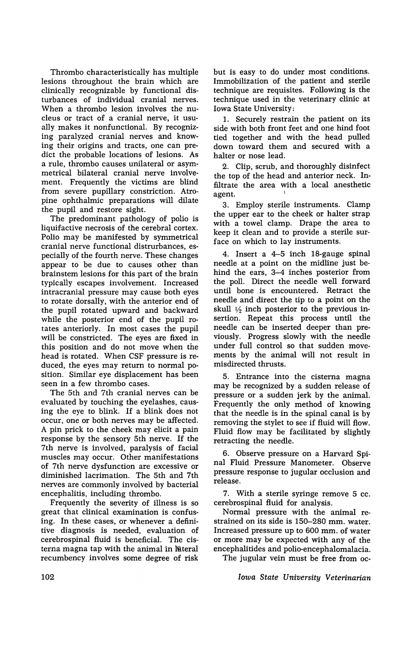Thrombo characteristically has multiple lesions throughout the brain which are clinically recognizable by functional disturbances of individual cranial nerves. When a thrombo lesion involves the nucleus or tract of a cranial nerve, it usually makes it nonfunctional. By recognizing paralyzed cranial nerves and knowing their origins and tracts, one can predict the probable locations of lesions. As a rule, thrombo causes unilateral or asymmetrical bilateral cranial nerve involvement. Frequently the victims are blind from severe pupillary constriction. Atropine ophthalmic preparations will dilate the pupil and restore sight.

The predominant pathology of polio is liquifactive necrosis of the cerebral cortex. Polio may be manifested by symmetrical cranial nerve functional distrurbances, especially of the fourth nerve. These changes appear to be due to causes other than brain stem lesions for this part of the brain typically escapes involvement. Increased intracranial pressure may cause both eyes to rotate dorsally, with the anterior end of the pupil rotated upward and backward while the posterior end of the pupil rotates anteriorly. In most cases the pupil will be constricted. The eyes are fixed in this position and do not move when the head is rotated. When CSF pressure is reduced, the eyes may return to normal position. Similar eye displacement has been seen in a few thrombo cases.

The 5th and 7th cranial nerves can be evaluated by touching the eyelashes, causing the eye to blink. If a blink does not occur, one or both nerves may be affected. A pin prick to the cheek may elicit a pain response by the sensory 5th nerve. If the 7th nerve is involved, paralysis of facial muscles may occur. Other manifestations of 7th nerve dysfunction are excessive or diminished lacrimation. The 5th and 7th nerves are commonly involved by bacterial encephalitis, including thrombo.

Frequently the severity of illness is so great that clinical examination is confusing. In these cases, or whenever a definitive diagnosis is needed, evaluation of cerebrospinal fluid is beneficial. The cisterna magna tap with the animal in lateral recumbency involves some degree of risk but is easy to do under most conditions. Immobilization of the patient and sterile technique are requisites. Following is the technique used in the veterinary clinic at Iowa State University:

1. Securely restrain the patient on its side with both front feet and one hind foot tied together and with the head pulled down toward them and secured with a halter or nose lead.

2. Clip, scrub, and thoroughly disinfect the top of the head and anterior neck. Infiltrate the area with a local anesthetic agent.

3. Employ sterile instruments. Clamp the upper ear to the cheek or halter strap with a towel clamp. Drape the area to keep it clean and to provide a sterile surface on which to lay instruments.

4. Insert a 4-5 inch 18-gauge spinal needle at a point on the midline just behind the ears, 3-4 inches posterior from the poll. Direct the needle well forward until bone is encountered. Retract the needle and direct the tip to a point on the skull  $\frac{1}{2}$  inch posterior to the previous insertion. Repeat this process until the needle can be inserted deeper than previously. Progress slowly with the needle under full control so that sudden movements by the animal will not result in misdirected thrusts.

5. Entrance into the cisterna magna may be recognized by a sudden release of pressure or a sudden jerk by the animal. Frequently the only method of knowing that the needle is in the spinal canal is by removing the stylet to see if fluid will flow. Fluid flow may be facilitated by slightly retracting the needle.

6. Observe pressure on a Harvard Spinal Fluid Pressure Manometer. Observe pressure response to jugular occlusion and release.

7. With a sterile syringe remove 5 cc. cerebrospinal fluid for analysis.

Normal pressure with the animal restrained on its side is 150-280 mm. water. Increased pressure up to 600 mm. of water or more may be expected with any of the encephalitides and polio-encephalomalacia.

The jugular vein must be free from oc-

*Iowa State University Veterinarian*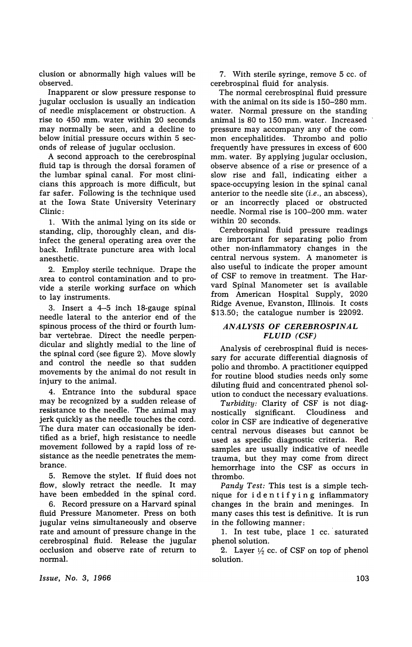clusion or abnormally high values will be observed.

Inapparent or slow pressure response to jugular occlusion is usually an indication of needle misplacement or obstruction. A rise to 450 mm. water within 20 seconds may normally be seen, and a decline to below initial pressure occurs within 5 seconds of release of jugular occlusion.

A second approach to the cerebrospinal fluid tap is through the dorsal foramen of the lumbar spinal canal. For most clinicians this approach is more difficult, but far safer. Following is the technique used at the Iowa State University Veterinary Clinic:

1. With the animal lying on its side or standing, clip, thoroughly clean, and disinfect the general operating area over the back. Infiltrate puncture area with local anesthetic.

2. Employ sterile technique. Drape the area to control contamination and to provide a sterile working surface on which to lay instruments.

3. Insert a 4-5 inch IS-gauge spinal needle lateral to the anterior end of the spinous process of the third or fourth lumbar vertebrae. Direct the needle perpendicular and slightly medial to the line of the spinal cord (see figure 2). Move slowly and control the needle so that sudden movements by the animal do not result in injury to the animal.

4. Entrance into the subdural space may be recognized by a sudden release of resistance to the needle. The animal may jerk quickly as the needle touches the cord. The dura mater can occasionally be identified as a brief, high resistance to needle movement followed by a rapid loss of resistance as the needle penetrates the membrance.

5. Remove the stylet. If fluid does not flow, slowly retract the needle. It may have been embedded in the spinal cord.

6. Record pressure on a Harvard spinal fluid Pressure Manometer. Press on both jugular veins simultaneously and observe rate and amount of pressure change in the cerebrospinal fluid. Release the jugular occlusion and observe rate of return to normal.

7. With sterile syringe, remove 5 cc. of cerebrospinal fluid for analysis.

The normal cerebrospinal fluid pressure with the animal on its side is 150-280 mm. water. Normal pressure on the standing animal is 80 to 150 mm. water. Increased pressure may accompany any of the common encephalitides. Thrombo and polio frequently have pressures in excess of 600 mm. water. By applying jugular occlusion, observe absence of a rise or presence of a slow rise and fall, indicating either a space-occupying lesion in the spinal canal anterior to the needle site *(i.e.,* an abscess), or an incorrectly placed or obstructed needle. Normal rise is 100-200 mm. water within 20 seconds.

Cerebrospinal fluid pressure readings are important for separating polio from other non-inflammatory changes in the central nervous system. A manometer is also useful to indicate the proper amount of CSF to remove in treatment. The Harvard Spinal Manometer set is available from American Hospital Supply, 2020 Ridge Avenue, Evanston, Illinois. It costs \$13.50; the catalogue number is 22092.

### *ANALYSIS OF CEREBROSPINAL FLUID (CSF)*

Analysis of cerebrospinal fluid is necessary for accurate differential diagnosis of polio and thrombo. A practitioner equipped for routine blood studies needs only some diluting fluid and concentrated phenol solution to conduct the necessary evaluations.

*Turbidity:* Clarity of CSF is not diagnostically significant. Cloudiness and color in CSF are indicative of degenerative central nervous diseases but cannot be used as specific diagnostic criteria. Red samples are usually indicative of needle trauma, but they may come from direct hemorrhage into the CSF as occurs in thrombo.

Pandy Test: This test is a simple technique for ide n t i f yin g inflammatory changes in the brain and meninges. In many cases this test is definitive. It is run in the following manner:

1. In test tube, place 1 cc.' saturated phenol solution.

2. Layer  $1/2$  cc. of CSF on top of phenol solution.

*Issue, No.3, 1966*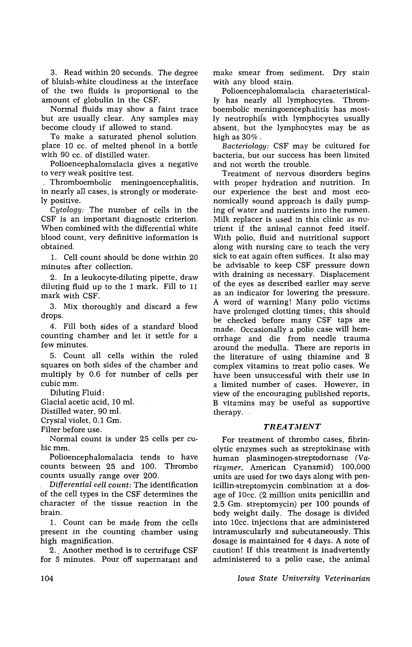3. Read within 20 seconds. The degree of bluish-white cloudiness at the interface of the two fluids is proportional to the amount of globulin in the CSF.

Normal fluids may show a faint trace but are usually clear. Any samples may become cloudy if allowed to stand.

To make a saturated phenol solution, place 10 cc. of melted phenol in a bottle with 90 cc. of distilled water.

Polioencephalomalacia gives a negative to very weak positive test.

,Thromboembolic meningoencephalitis, in nearly all cases, is strongly or moderately positive.

*Cytology:* The number of cells in the CSF is an important diagnostic criterion. When combined with the differential white blood count, very definitive information is obtained.

1. Cell count should be done within 20 minutes after collection.

2. In a leukocyte-diluting pipette, draw diluting fluid up to the 1 mark. Fill to 11 mark with CSF.

3. Mix thoroughly and discard a few drops.

4. Fill both sides of a standard blood counting chamber and let it settle for a few minutes.

5. Count all cells within the ruled squares on both sides of the chamber and multiply by 0.6 for number of cells per cubic mm.

Diluting Fluid:

Glacial acetic acid, 10 ml.

Distilled water, 90 ml.

Crystal violet, 0.1 Gm.

Filter before use.

Normal count is under, 25 cells per cubic mm.

Polioencephalomalacia tends to have counts between 25 and 100. Thrombo counts usually range over 200.

*, Differential cell count:* The identification of the cell types in the CSF determines the character of the tissue reaction in the brain.

1. Count can be made from the cells present in the counting chamber using high magnification,

2. Another method is to certrifuge CSF for 5 minutes. Pour off supernatant and make smear from sediment. Dry stain with any blood stain.

Polioencephalomalacia characteristically has nearly all lymphocytes. Thromboembolic meningoencephalitis has mostly neutrophiis with lymphocytes usually absent, but the lymphocytes may be as high as 30%.

*Bacteriology:* CSF may be cultured for bacteria, but our success has been limited and not worth the trouble.

Treatment of nervous disorders begins with proper hydration and nutrition. In our experience the best and most economically sound approach is daily pumping of water and nutrients into the rumen. Milk replacer is used in this clinic as nutrient if the animal cannot feed itself. With polio, fluid and nutritional support along with nursing care to teach the very sick to eat again often suffices. It also may be advisable to keep CSF pressure down with draining as necessary. Displacement of the eyes as described earlier may serve as 'an indicator for lowering the pressure. A word of warning! Many polio victims have prolonged clotting times; this should be checked before many CSF taps are made. Occasionally a polio case will hemorrhage and die from needle trauma around the medulla. There are reports in the literature of using thiamine and B complex vitamins to treat polio cases. We have been unsuccessful with their use in a limited number of cases. However, in view of the encouraging published reports, B vitamins may be useful as supportive therapy.

#### TREATMENT

For treatment of thrombo cases, fibrinolytic enzymes such as streptokinase with human plasminogen-streptodornase *(Varizymer,* American Cyanamid) 100,000 units are used for two days along with penicillin-streptomycin combination at a dosage of lOcc. (2 million units penicillin and 2.5 Gm. streptomycin) per 100 pounds of body weight daily. The dosage is divided into lOcc. injections that are administered intramuscularly and subcutaneously. This dosage is maintained for 4 days. A note of caution! If this treatment is inadvertently administered to a polio case, the animal

*Iowa State University Veterinarian*